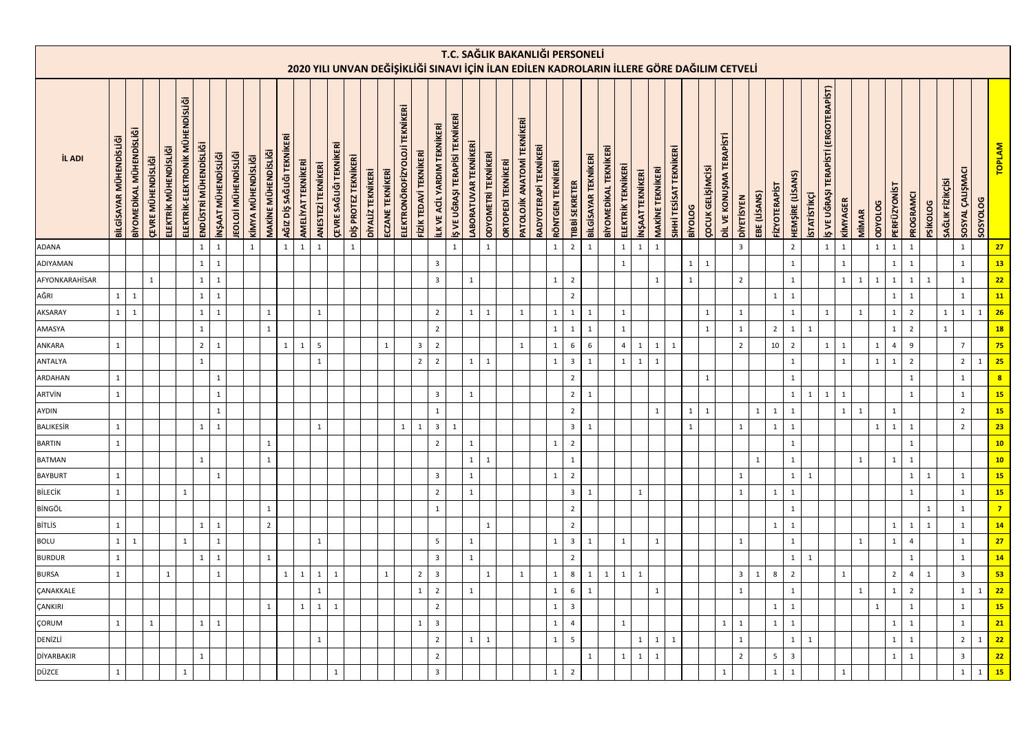|                   |                                |                          |                           |                       |                                  |                       |                     |                             |                    |                            |                            |                    |                    |                                |                      |                   |                  |                                |                         |                             |                                 |                             |                            |                           |                                              |                       | T.C. SAĞLIK BAKANLIĞI PERSONELİ<br>2020 YILI UNVAN DEĞİŞİKLİĞİ SINAVI İÇİN İLAN EDİLEN KADROLARIN İLLERE GÖRE DAĞILIM CETVELİ |                                |                                                      |              |                                |                                            |                         |              |                          |                          |                         |              |                      |                         |                    |                                          |              |              |              |                |                |                 |                  |                         |                 |                         |
|-------------------|--------------------------------|--------------------------|---------------------------|-----------------------|----------------------------------|-----------------------|---------------------|-----------------------------|--------------------|----------------------------|----------------------------|--------------------|--------------------|--------------------------------|----------------------|-------------------|------------------|--------------------------------|-------------------------|-----------------------------|---------------------------------|-----------------------------|----------------------------|---------------------------|----------------------------------------------|-----------------------|-------------------------------------------------------------------------------------------------------------------------------|--------------------------------|------------------------------------------------------|--------------|--------------------------------|--------------------------------------------|-------------------------|--------------|--------------------------|--------------------------|-------------------------|--------------|----------------------|-------------------------|--------------------|------------------------------------------|--------------|--------------|--------------|----------------|----------------|-----------------|------------------|-------------------------|-----------------|-------------------------|
|                   |                                |                          |                           |                       |                                  |                       |                     |                             |                    |                            |                            |                    |                    |                                |                      |                   |                  |                                |                         |                             |                                 |                             |                            |                           |                                              |                       |                                                                                                                               |                                |                                                      |              |                                |                                            |                         |              |                          |                          |                         |              |                      |                         |                    |                                          |              |              |              |                |                |                 |                  |                         |                 |                         |
| İL ADI            | <b>BİLGİSAYAR MÜHENDİSLİĞİ</b> | BİYOMEDİKAL MÜHENDİSLİĞİ | <b>ÇEVRE MÜHENDİSLİĞİ</b> | ELEKTRİK MÜHENDİSLİĞİ | ELEKTRİK-ELEKTRONİK MÜHENDİSLİĞİ | ENDÜSTRİ MÜHENDİSLİĞİ | INŞAAT MÜHENDISLIĞİ | <b>IEOLOJİ MÜHENDİSLİĞİ</b> | KİMYA MÜHENDİSLİĞİ | <b>MAKINE MÜHENDISLIĞI</b> | AĞIZ DİŞ SAĞLIĞI TEKNİKERİ | AMELİYAT TEKNİKERİ | ANESTEZİ TEKNİKERİ | <b>ÇEVRE SAĞLIĞI TEKNİKERİ</b> | DİŞ PROTEZ TEKNİKERİ | DİYALİZ TEKNİKERİ | ECZANE TEKNİKERİ | ELEKTRONÖROFİZYOLOJİ TEKNİKERİ | FİZİK TEDAVİ TEKNİKERİ  | LK VE ACIL YARDIM TEKNIKERİ | IŞ VE UĞRAŞI TERAPISI TEKNIKERİ | <b>ABORATUVAR TEKNİKERİ</b> | <b>ODYOMETRI TEKNIKERI</b> | <b>ORTOPEDI TEKNIKERI</b> | <b>TEKNİKERİ</b><br><b>PATOLOJİK ANATOMİ</b> | RADYOTERAPİ TEKNİKERİ | RÖNTGEN TEKNİKERİ<br><b>TIBBİ SEKRETER</b>                                                                                    |                                | <b>BİYOMEDİKAL TEKNİKERİ</b><br>BİLGİSAYAR TEKNİKERİ |              | ELEKTRİK TEKNİKERİ             | <b>MAKİNE TEKNİKERİ</b><br>NŞAAT TEKNİKERİ | SIHHİ TESİSAT TEKNİKERİ | BiyOLOG      | <b>ÇOCUK GELİŞİMCİSİ</b> | DİL VE KONUŞMA TERAPİSTİ | <b>DIVETISYEN</b>       | EBE (LISANS) | <b>FIZYOTERAPIST</b> | HEMŞİRE (LİSANS)        | <b>STATISTIKÇİ</b> | TERAPÍSTÍ (ERGOTERAPÍST)<br>IŞ VE UĞRAŞI | KİMYAGER     | <b>MIMAR</b> | DDYOLOG      | PERFÜZYON      | PROGRAMCI      | <b>PSİKOLOG</b> | SAĞLIK FİZİKÇİSİ | SOSYAL ÇALIŞMACI        | <b>SOSYOLOG</b> | <b>TOPLAM</b>           |
| ADANA             |                                |                          |                           |                       |                                  | 1                     | $\mathbf 1$         |                             | $\mathbf{1}$       |                            | 1                          | $\mathbf{1}$       | $\mathbf{1}$       |                                | $\mathbf{1}$         |                   |                  |                                |                         |                             | $\mathbf{1}$                    |                             | $\mathbf{1}$               |                           |                                              |                       | $2^{\circ}$<br>$\mathbf{1}$                                                                                                   | $\mathbf{1}$                   |                                                      |              | $\mathbf 1$<br>$\mathbf{1}$    | $\mathbf{1}$                               |                         |              |                          |                          | $\overline{\mathbf{3}}$ |              |                      | $\overline{2}$          |                    | $\mathbf{1}$                             | $\mathbf{1}$ |              | $\mathbf{1}$ | 1              | $\,$ 1 $\,$    |                 |                  | $\mathbf 1$             |                 | 27                      |
| ADIYAMAN          |                                |                          |                           |                       |                                  | $\mathbf{1}$          | $\mathbf 1$         |                             |                    |                            |                            |                    |                    |                                |                      |                   |                  |                                |                         | $\overline{3}$              |                                 |                             |                            |                           |                                              |                       |                                                                                                                               |                                |                                                      |              | $\mathbf{1}$                   |                                            |                         | $1 \mid$     | $\mathbf{1}$             |                          |                         |              |                      | $\mathbf 1$             |                    |                                          | $\mathbf{1}$ |              |              | 1              | $\mathbf 1$    |                 |                  | $\mathbf{1}$            |                 | 13                      |
| AFYONKARAHİSAR    |                                |                          | $\mathbf{1}$              |                       |                                  | $\mathbf{1}$          | $\mathbf 1$         |                             |                    |                            |                            |                    |                    |                                |                      |                   |                  |                                |                         | $\overline{3}$              |                                 | $\mathbf{1}$                |                            |                           |                                              |                       | $\overline{2}$<br>$\mathbf{1}$                                                                                                |                                |                                                      |              |                                | $\mathbf{1}$                               |                         | $\mathbf{1}$ |                          |                          | $\overline{2}$          |              |                      | $\mathbf 1$             |                    |                                          | $\mathbf{1}$ | 1            | $\mathbf{1}$ | 1              | $\mathbf 1$    | $\mathbf{1}$    |                  | $\mathbf{1}$            |                 | 22                      |
| AĞRI              | $1\phantom{0}$                 | $\mathbf 1$              |                           |                       |                                  | $1\vert$              | $\mathbf{1}$        |                             |                    |                            |                            |                    |                    |                                |                      |                   |                  |                                |                         |                             |                                 |                             |                            |                           |                                              |                       | $\overline{2}$                                                                                                                |                                |                                                      |              |                                |                                            |                         |              |                          |                          |                         |              | 1                    | $\mathbf{1}$            |                    |                                          |              |              |              | 1              | $\mathbf{1}$   |                 |                  | $\mathbf{1}$            |                 | 11                      |
| AKSARAY           | $1 \mid$                       | $\mathbf{1}$             |                           |                       |                                  | $\mathbf{1}$          | $\mathbf{1}$        |                             |                    | $\mathbf{1}$               |                            |                    | $\overline{1}$     |                                |                      |                   |                  |                                |                         | $\overline{2}$              |                                 | $\mathbf{1}$                | $\mathbf{1}$               |                           | $\overline{1}$                               |                       | $\mathbf{1}$<br>1                                                                                                             | $\mathbf{1}$                   |                                                      |              | $\mathbf{1}$                   |                                            |                         |              | $\mathbf{1}$             |                          | $\mathbf{1}$            |              |                      | $\mathbf{1}$            |                    | $\mathbf{1}$                             |              | $\mathbf{1}$ |              | $\mathbf{1}$   | $\overline{2}$ |                 | $\mathbf{1}$     | $\mathbf{1}$            | $\mathbf{1}$    | 26                      |
| AMASYA            |                                |                          |                           |                       |                                  | $\mathbf{1}$          |                     |                             |                    | $\mathbf{1}$               |                            |                    |                    |                                |                      |                   |                  |                                |                         | $\overline{2}$              |                                 |                             |                            |                           |                                              |                       | $\mathbf{1}$<br>$\mathbf{1}$                                                                                                  | $\mathbf{1}$                   |                                                      |              | $\mathbf{1}$                   |                                            |                         |              | $\mathbf{1}$             |                          | $\mathbf 1$             |              | $\overline{2}$       | $\mathbf 1$             | $\mathbf{1}$       |                                          |              |              |              | $\mathbf{1}$   | $\overline{2}$ |                 | 1                |                         |                 | 18 <sup>°</sup>         |
| ANKARA            | $\mathbf{1}$                   |                          |                           |                       |                                  | $\overline{2}$        | $\mathbf{1}$        |                             |                    |                            | $\mathbf{1}$               | $\mathbf{1}$       | 5                  |                                |                      |                   | $\mathbf{1}$     |                                | $\overline{\mathbf{3}}$ | $\overline{2}$              |                                 |                             |                            |                           | $\mathbf{1}$                                 |                       | 6<br>$\mathbf{1}$                                                                                                             | $6\phantom{1}6$                |                                                      |              | $\overline{4}$<br>$\mathbf{1}$ | $\mathbf{1}$                               | $\mathbf{1}$            |              |                          |                          | $\overline{2}$          |              | 10 <sup>10</sup>     | $\overline{2}$          |                    | $\mathbf{1}$                             | $\mathbf{1}$ |              | $\mathbf{1}$ | $\overline{4}$ | $\overline{9}$ |                 |                  | $\overline{7}$          |                 | 75                      |
| ANTALYA           |                                |                          |                           |                       |                                  | $\mathbf{1}$          |                     |                             |                    |                            |                            |                    | $\mathbf{1}$       |                                |                      |                   |                  |                                | $\overline{2}$          | $\overline{2}$              |                                 | $\mathbf{1}$                | $\mathbf{1}$               |                           |                                              |                       | $\overline{\mathbf{3}}$<br>$\mathbf{1}$                                                                                       | $\mathbf{1}$                   |                                                      |              | $\mathbf{1}$<br>$\mathbf{1}$   | $\mathbf{1}$                               |                         |              |                          |                          |                         |              |                      | $\mathbf{1}$            |                    |                                          | $\mathbf{1}$ |              | $\mathbf{1}$ | 1              | $\overline{2}$ |                 |                  | $\overline{2}$          | $\mathbf{1}$    | 25                      |
| ARDAHAN           | $\mathbf{1}$                   |                          |                           |                       |                                  |                       | $\mathbf{1}$        |                             |                    |                            |                            |                    |                    |                                |                      |                   |                  |                                |                         |                             |                                 |                             |                            |                           |                                              |                       | $\overline{2}$                                                                                                                |                                |                                                      |              |                                |                                            |                         |              | $\mathbf{1}$             |                          |                         |              |                      | $\mathbf{1}$            |                    |                                          |              |              |              |                | $\mathbf 1$    |                 |                  | $\mathbf{1}$            |                 | $\overline{\mathbf{8}}$ |
| ARTVİN            | 1                              |                          |                           |                       |                                  |                       | $\mathbf{1}$        |                             |                    |                            |                            |                    |                    |                                |                      |                   |                  |                                |                         | $\overline{3}$              |                                 | $\mathbf{1}$                |                            |                           |                                              |                       |                                                                                                                               | 2 <sup>1</sup><br>$\mathbf{1}$ |                                                      |              |                                |                                            |                         |              |                          |                          |                         |              |                      | $\mathbf{1}$            | 1                  | 1                                        | 1            |              |              |                | $\mathbf{1}$   |                 |                  | $\mathbf{1}$            |                 | 15 <sup>°</sup>         |
| AYDIN             |                                |                          |                           |                       |                                  |                       | $\mathbf{1}$        |                             |                    |                            |                            |                    |                    |                                |                      |                   |                  |                                |                         | $\mathbf{1}$                |                                 |                             |                            |                           |                                              |                       | $\overline{2}$                                                                                                                |                                |                                                      |              |                                | 1                                          |                         | 1            | $\mathbf{1}$             |                          |                         | $\mathbf{1}$ | 1                    | $\mathbf{1}$            |                    |                                          | $\mathbf{1}$ | 1            |              | 1              |                |                 |                  | $\overline{2}$          |                 | 15 <sup>°</sup>         |
| <b>BALIKESİR</b>  | $\mathbf{1}$                   |                          |                           |                       |                                  | 1                     | $\mathbf{1}$        |                             |                    |                            |                            |                    | $\mathbf{1}$       |                                |                      |                   |                  | 1                              | $\mathbf{1}$            | $\overline{\mathbf{3}}$     | $\mathbf{1}$                    |                             |                            |                           |                                              |                       |                                                                                                                               | 3 <sup>1</sup><br>$\mathbf{1}$ |                                                      |              |                                |                                            |                         | $\mathbf{1}$ |                          |                          | $\mathbf{1}$            |              | 1                    | $\mathbf{1}$            |                    |                                          |              |              | $\mathbf{1}$ | $\mathbf{1}$   | $\mathbf{1}$   |                 |                  | $\overline{2}$          |                 | 23                      |
| <b>BARTIN</b>     | $\mathbf{1}$                   |                          |                           |                       |                                  |                       |                     |                             |                    | $\mathbf{1}$               |                            |                    |                    |                                |                      |                   |                  |                                |                         | $\overline{2}$              |                                 | $\mathbf{1}$                |                            |                           |                                              |                       | $\overline{2}$<br>$\mathbf{1}$                                                                                                |                                |                                                      |              |                                |                                            |                         |              |                          |                          |                         |              |                      | $\mathbf{1}$            |                    |                                          |              |              |              |                | $\mathbf 1$    |                 |                  |                         |                 | 10                      |
| <b>BATMAN</b>     |                                |                          |                           |                       |                                  | $\mathbf{1}$          |                     |                             |                    | $\mathbf{1}$               |                            |                    |                    |                                |                      |                   |                  |                                |                         |                             |                                 | $\mathbf 1$                 | $\mathbf{1}$               |                           |                                              |                       | $\mathbf{1}$                                                                                                                  |                                |                                                      |              |                                |                                            |                         |              |                          |                          |                         | $\mathbf{1}$ |                      | $\mathbf{1}$            |                    |                                          |              | $\mathbf{1}$ |              | $\mathbf{1}$   | $\mathbf 1$    |                 |                  |                         |                 | 10 <sub>1</sub>         |
| <b>BAYBURT</b>    | $1\,$                          |                          |                           |                       |                                  |                       | $1\,$               |                             |                    |                            |                            |                    |                    |                                |                      |                   |                  |                                |                         | $\overline{3}$              |                                 | $\mathbf 1$                 |                            |                           |                                              |                       | $\overline{2}$<br>$\mathbf{1}$                                                                                                |                                |                                                      |              |                                |                                            |                         |              |                          |                          | $\mathbf 1$             |              |                      | $\mathbf 1$             | $\mathbf{1}$       |                                          |              |              |              |                | $\mathbf 1$    | $\mathbf{1}$    |                  | $\mathbf 1$             |                 | 15 <sup>2</sup>         |
| <b>BİLECİK</b>    | $\mathbf{1}$                   |                          |                           |                       | $\mathbf{1}$                     |                       |                     |                             |                    |                            |                            |                    |                    |                                |                      |                   |                  |                                |                         | $\overline{2}$              |                                 | $\mathbf{1}$                |                            |                           |                                              |                       |                                                                                                                               | 3 <sup>1</sup><br>$\mathbf{1}$ |                                                      |              | $\mathbf{1}$                   |                                            |                         |              |                          |                          | $\mathbf 1$             |              | 1                    | $\mathbf 1$             |                    |                                          |              |              |              |                | $\mathbf{1}$   |                 |                  | $\mathbf{1}$            |                 | 15 <sup>°</sup>         |
| <b>BİNGÖL</b>     |                                |                          |                           |                       |                                  |                       |                     |                             |                    | $\mathbf{1}$               |                            |                    |                    |                                |                      |                   |                  |                                |                         | $\mathbf{1}$                |                                 |                             |                            |                           |                                              |                       | $\overline{2}$                                                                                                                |                                |                                                      |              |                                |                                            |                         |              |                          |                          |                         |              |                      | $\mathbf{1}$            |                    |                                          |              |              |              |                |                | $\mathbf{1}$    |                  | $\mathbf{1}$            |                 | 7 <sup>7</sup>          |
| <b>BİTLİS</b>     | $\mathbf{1}$                   |                          |                           |                       |                                  | 1                     | $1\,$               |                             |                    | $\overline{2}$             |                            |                    |                    |                                |                      |                   |                  |                                |                         |                             |                                 |                             | $\mathbf{1}$               |                           |                                              |                       | $\overline{2}$                                                                                                                |                                |                                                      |              |                                |                                            |                         |              |                          |                          |                         |              | 1                    | $\mathbf{1}$            |                    |                                          |              |              |              | $\mathbf{1}$   | $\mathbf{1}$   | $\mathbf{1}$    |                  | $\mathbf{1}$            |                 | 14 <sup>°</sup>         |
| <b>BOLU</b>       | 1                              | $\mathbf{1}$             |                           |                       | $\mathbf{1}$                     |                       | $\mathbf{1}$        |                             |                    |                            |                            |                    | $\mathbf{1}$       |                                |                      |                   |                  |                                |                         | 5                           |                                 | $\mathbf{1}$                |                            |                           |                                              |                       | 3 <sup>1</sup><br>$\mathbf{1}$                                                                                                | $\overline{1}$                 |                                                      | $\mathbf{1}$ |                                | $\overline{1}$                             |                         |              |                          |                          | $\mathbf 1$             |              |                      | $\mathbf 1$             |                    |                                          |              | $\mathbf{1}$ |              | $\mathbf{1}$   | $\overline{4}$ |                 |                  | $\mathbf{1}$            |                 | 27                      |
| <b>BURDUR</b>     | $\mathbf{1}$                   |                          |                           |                       |                                  | $\mathbf{1}$          | $\mathbf{1}$        |                             |                    | $\mathbf{1}$               |                            |                    |                    |                                |                      |                   |                  |                                |                         | $\overline{3}$              |                                 | $\mathbf{1}$                |                            |                           |                                              |                       | $\overline{2}$                                                                                                                |                                |                                                      |              |                                |                                            |                         |              |                          |                          |                         |              |                      | $\mathbf{1}$            | $\mathbf{1}$       |                                          |              |              |              |                | $\mathbf{1}$   |                 |                  | $\mathbf{1}$            |                 | 14                      |
| <b>BURSA</b>      | $\mathbf{1}$                   |                          |                           | $\mathbf 1$           |                                  |                       | $1\,$               |                             |                    |                            | $\mathbf{1}$               | $\mathbf{1}$       | $\overline{1}$     | $\mathbf{1}$                   |                      |                   | $\mathbf{1}$     |                                | $\mathbf 2$             | $\overline{3}$              |                                 |                             | $\overline{1}$             |                           |                                              |                       | 8<br>1                                                                                                                        | $\mathbf{1}$                   | $\mathbf{1}$                                         |              | $\mathbf 1$<br>$\mathbf{1}$    |                                            |                         |              |                          |                          | $\overline{\mathbf{3}}$ | $\mathbf{1}$ | 8                    | $\overline{2}$          |                    |                                          | $\mathbf{1}$ |              |              | $\overline{2}$ | $\sqrt{4}$     | $\mathbf{1}$    |                  | $\overline{3}$          |                 | 53                      |
| <b>ÇANAKKALE</b>  |                                |                          |                           |                       |                                  |                       |                     |                             |                    |                            |                            |                    | $\mathbf{1}$       |                                |                      |                   |                  |                                | $\mathbf{1}$            | $\overline{2}$              |                                 | $\mathbf{1}$                |                            |                           |                                              |                       | $6\overline{6}$<br>1                                                                                                          | $\mathbf{1}$                   |                                                      |              |                                | $\mathbf{1}$                               |                         |              |                          |                          | $\mathbf 1$             |              |                      | $\mathbf{1}$            |                    |                                          |              | $\mathbf{1}$ |              | $\mathbf{1}$   | $\overline{2}$ |                 |                  | $\mathbf 1$             | $\mathbf{1}$    | 22                      |
| ÇANKIRI           |                                |                          |                           |                       |                                  |                       |                     |                             |                    | $\mathbf{1}$               |                            | $\mathbf{1}$       | 1                  | $\mathbf{1}$                   |                      |                   |                  |                                |                         | $\overline{2}$              |                                 |                             |                            |                           |                                              |                       | $\overline{3}$<br>$\mathbf{1}$                                                                                                |                                |                                                      |              |                                |                                            |                         |              |                          |                          |                         |              | $\mathbf{1}$         | $\mathbf{1}$            |                    |                                          |              |              | $\mathbf{1}$ |                | $\mathbf{1}$   |                 |                  | $\mathbf{1}$            |                 | 15 <sup>°</sup>         |
| ÇORUM             | $\mathbf{1}$                   |                          | $\mathbf{1}$              |                       |                                  | $1\phantom{.}$        | $\mathbf{1}$        |                             |                    |                            |                            |                    |                    |                                |                      |                   |                  |                                | $\mathbf{1}$            | $\overline{3}$              |                                 |                             |                            |                           |                                              |                       | $\overline{4}$<br>$\mathbf{1}$                                                                                                |                                |                                                      |              | $\mathbf{1}$                   |                                            |                         |              |                          | 1                        | $\mathbf{1}$            |              | 1                    | $1\,$                   |                    |                                          |              |              |              | $\mathbf{1}$   | $\mathbf{1}$   |                 |                  | $\mathbf{1}$            |                 | 21                      |
| DENİZLİ           |                                |                          |                           |                       |                                  |                       |                     |                             |                    |                            |                            |                    | 1                  |                                |                      |                   |                  |                                |                         | $\overline{2}$              |                                 | $\mathbf{1}$                | $\mathbf{1}$               |                           |                                              |                       | 5<br>$\mathbf{1}$                                                                                                             |                                |                                                      |              | $\mathbf{1}$                   | $\mathbf{1}$                               | $\mathbf{1}$            |              |                          |                          | $\mathbf 1$             |              |                      | $\mathbf{1}$            | $\mathbf{1}$       |                                          |              |              |              | 1              | $\mathbf{1}$   |                 |                  | $\overline{2}$          | $\mathbf{1}$    | 22                      |
| <b>DİYARBAKIR</b> |                                |                          |                           |                       |                                  | $\mathbf{1}$          |                     |                             |                    |                            |                            |                    |                    |                                |                      |                   |                  |                                |                         | $\overline{2}$              |                                 |                             |                            |                           |                                              |                       |                                                                                                                               | $\mathbf{1}$                   |                                                      | $\mathbf{1}$ | $\mathbf{1}$                   | $\mathbf{1}$                               |                         |              |                          |                          | $\sqrt{2}$              |              | 5                    | $\overline{\mathbf{3}}$ |                    |                                          |              |              |              | $\mathbf{1}$   | $\mathbf{1}$   |                 |                  | $\overline{\mathbf{3}}$ |                 | 22                      |
| DÜZCE             | $\mathbf{1}$                   |                          |                           |                       | $\mathbf{1}$                     |                       |                     |                             |                    |                            |                            |                    |                    | $\mathbf{1}$                   |                      |                   |                  |                                |                         | 3                           |                                 |                             |                            |                           |                                              |                       | $\overline{2}$<br>$\mathbf{1}$                                                                                                |                                |                                                      |              |                                |                                            |                         |              |                          |                          |                         |              | $\mathbf{1}$         | $\mathbf 1$             |                    |                                          | $\mathbf{1}$ |              |              |                |                |                 |                  | $\mathbf 1$             | $\mathbf{1}$    | 15 <sup>°</sup>         |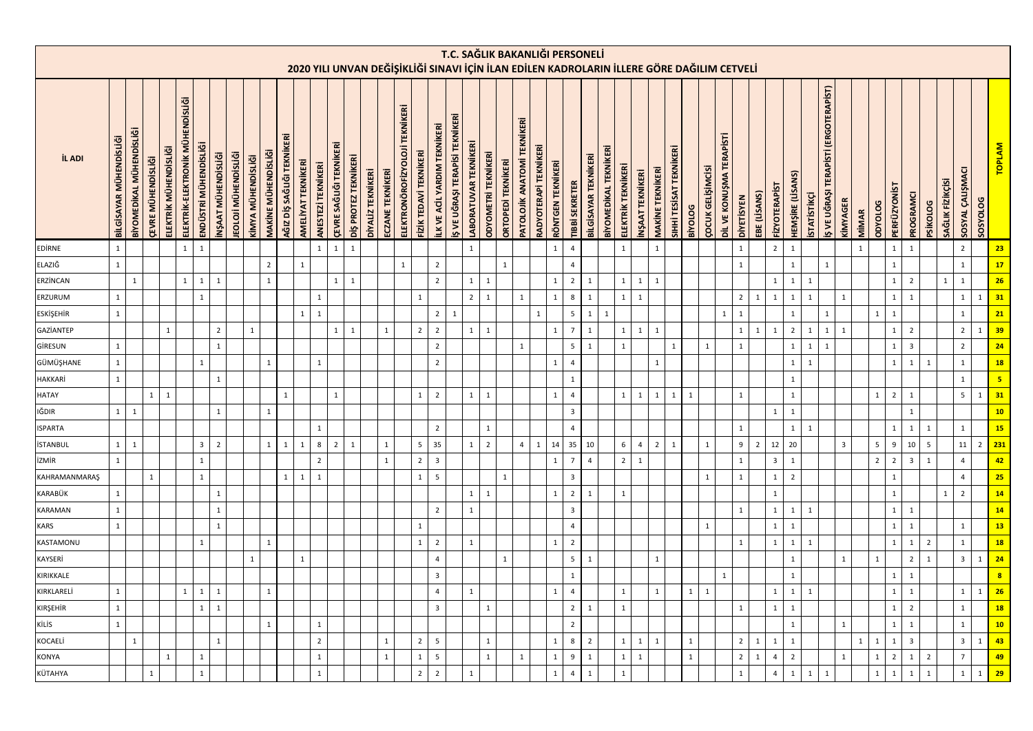|                  |                                                                                            |                          |                           |                       |                                  |                       |                    |                             |                    |                            |                           |                    |                    |                                |                      |                   |                  |                                                 |                        |                                     |                                |                                |                            |                           |                                    |                       | T.C. SAĞLIK BAKANLIĞI PERSONELİ |                         |                      |                       |                    |                 |                         |                         |                |                          |                          |                   |                |                         |                  |                    |                                                    |                |              |                |                  |                         |                 |                  |                  |                 |                         |
|------------------|--------------------------------------------------------------------------------------------|--------------------------|---------------------------|-----------------------|----------------------------------|-----------------------|--------------------|-----------------------------|--------------------|----------------------------|---------------------------|--------------------|--------------------|--------------------------------|----------------------|-------------------|------------------|-------------------------------------------------|------------------------|-------------------------------------|--------------------------------|--------------------------------|----------------------------|---------------------------|------------------------------------|-----------------------|---------------------------------|-------------------------|----------------------|-----------------------|--------------------|-----------------|-------------------------|-------------------------|----------------|--------------------------|--------------------------|-------------------|----------------|-------------------------|------------------|--------------------|----------------------------------------------------|----------------|--------------|----------------|------------------|-------------------------|-----------------|------------------|------------------|-----------------|-------------------------|
|                  | 2020 YILI UNVAN DEĞİŞİKLİĞİ SINAVI İÇİN İLAN EDİLEN KADROLARIN İLLERE GÖRE DAĞILIM CETVELİ |                          |                           |                       |                                  |                       |                    |                             |                    |                            |                           |                    |                    |                                |                      |                   |                  |                                                 |                        |                                     |                                |                                |                            |                           |                                    |                       |                                 |                         |                      |                       |                    |                 |                         |                         |                |                          |                          |                   |                |                         |                  |                    |                                                    |                |              |                |                  |                         |                 |                  |                  |                 |                         |
| <b>İL ADI</b>    | BİLGİSAYAR MÜHENDİSLİĞİ                                                                    | BİYOMEDİKAL MÜHENDİSLİĞİ | <b>ÇEVRE MÜHENDİSLİĞİ</b> | ELEKTRİK MÜHENDİSLİĞİ | ELEKTRİK-ELEKTRONİK MÜHENDİSLİĞİ | ENDÜSTRİ MÜHENDİSLİĞİ | NŞAAT MÜHENDİSLİĞİ | <b>IEOLOJİ MÜHENDİSLİĞİ</b> | KİMYA MÜHENDİSLİĞİ | <b>MAKINE MÜHENDISLIĞI</b> | AĞIZ DİŞ SAĞLIĞI TEKNİKER | AMELİYAT TEKNİKERİ | ANESTEZİ TEKNİKERİ | <b>ÇEVRE SAĞLIĞI TEKNİKERİ</b> | DİŞ PROTEZ TEKNİKERİ | DİYALİZ TEKNİKERİ | ECZANE TEKNİKERİ | <b>TEKNİKERİ</b><br><b>ELEKTRONÖROFİZYOLOJİ</b> | FİZİK TEDAVİ TEKNİKERİ | <b>ILK VE ACIL YARDIM TEKNIKERİ</b> | Ş VE UĞRAŞI TERAPİSİ TEKNİKERİ | LABORATUVAR TEKNİKERİ          | <b>ODYOMETRİ TEKNİKERİ</b> | <b>ORTOPEDİ TEKNİKERİ</b> | <b>PATOLOJİK ANATOMİ TEKNİKERİ</b> | RADYOTERAPİ TEKNİKERİ | <b>RÖNTGEN TEKNİKERİ</b>        | <b>TIBBİ SEKRETER</b>   | BİLGİSAYAR TEKNİKERİ | BİYOMEDİKAL TEKNİKERİ | ELEKTRİK TEKNİKERİ | NŞAAT TEKNİKERİ | <b>MAKİNE TEKNİKERİ</b> | SIHHİ TESİSAT TEKNİKERİ | <b>BiyOLOG</b> | <b>ÇOCUK GELIŞİMCISİ</b> | DİL VE KONUŞMA TERAPİSTİ | <b>DIVETISYEN</b> | EBE (LİSANS)   | <b>FIZY OTERAPIST</b>   | HEMŞİRE (LİSANS) | <b>STATISTIKÇİ</b> | (ERGOTERAPIST)<br><b>TERAPISTI</b><br>IŞ VE UĞRAŞI | KİMYAGER       | MIMAR        | porococ        | <b>PERFÜZYON</b> | PROGRAMCI               | <b>PSIKOLOG</b> | SAĞLIK FİZİKÇİSİ | SOSYAL ÇALIŞMACI | <b>SOSYOLOG</b> | <b>TOPLAM</b>           |
| <b>EDIRNE</b>    | $\mathbf{1}$                                                                               |                          |                           |                       | $\mathbf{1}$                     | 1                     |                    |                             |                    |                            |                           |                    | $\mathbf{1}$       | $\mathbf{1}$                   | $\mathbf{1}$         |                   |                  |                                                 |                        |                                     |                                | $\mathbf{1}$                   |                            |                           |                                    |                       | $\mathbf{1}$                    | $\overline{4}$          |                      |                       | $\mathbf{1}$       |                 | $\mathbf{1}$            |                         |                |                          |                          | $\mathbf 1$       |                | $\overline{2}$          | $\mathbf{1}$     |                    |                                                    |                | $\mathbf{1}$ |                | $\mathbf{1}$     | 1                       |                 |                  | $\overline{2}$   |                 | 23                      |
| ELAZIĞ           | $\mathbf{1}$                                                                               |                          |                           |                       |                                  |                       |                    |                             |                    | $\overline{2}$             |                           | $\mathbf 1$        |                    |                                |                      |                   |                  | $\mathbf{1}$                                    |                        | $\overline{2}$                      |                                |                                |                            | $\mathbf{1}$              |                                    |                       |                                 | $\overline{4}$          |                      |                       |                    |                 |                         |                         |                |                          |                          | $\mathbf 1$       |                |                         | $\mathbf 1$      |                    |                                                    |                |              |                | $\mathbf{1}$     |                         |                 |                  | $\mathbf{1}$     |                 | 17                      |
| ERZÍNCAN         |                                                                                            | $\mathbf{1}$             |                           |                       | $\mathbf{1}$                     | $\mathbf{1}$          | $\mathbf{1}$       |                             |                    | $\mathbf{1}$               |                           |                    |                    | $\mathbf 1$                    | $\mathbf{1}$         |                   |                  |                                                 |                        | $\overline{2}$                      |                                | $\mathbf{1}$<br>$\mathbf{1}$   |                            |                           |                                    |                       | $\mathbf{1}$                    | $\overline{2}$          | $\,1\,$              |                       | $\mathbf 1$        | $\mathbf{1}$    | $\overline{1}$          |                         |                |                          |                          |                   |                | $\mathbf{1}$            | $\mathbf 1$      | $\mathbf 1$        |                                                    |                |              |                | $\mathbf{1}$     | $\overline{2}$          |                 | $\mathbf{1}$     | $\,1\,$          |                 | 26                      |
| ERZURUM          | $\mathbf{1}$                                                                               |                          |                           |                       |                                  | $\mathbf{1}$          |                    |                             |                    |                            |                           |                    | $\mathbf{1}$       |                                |                      |                   |                  |                                                 | $\mathbf 1$            |                                     |                                | $\overline{2}$<br>$\mathbf{1}$ |                            |                           | 1                                  |                       | $\mathbf{1}$                    | 8                       | $\,1\,$              |                       | $\mathbf{1}$       | $\mathbf{1}$    |                         |                         |                |                          |                          | $\sqrt{2}$        | $\mathbf{1}$   | $\mathbf{1}$            | $\mathbf 1$      | $\mathbf{1}$       |                                                    | $\mathbf{1}$   |              |                | $\mathbf{1}$     | $\mathbf{1}$            |                 |                  | $1\,$            | $\mathbf{1}$    | 31                      |
| <b>ESKİŞEHİR</b> | $\mathbf{1}$                                                                               |                          |                           |                       |                                  |                       |                    |                             |                    |                            |                           | $\mathbf{1}$       | $\mathbf{1}$       |                                |                      |                   |                  |                                                 |                        | $\overline{2}$                      | $\overline{1}$                 |                                |                            |                           |                                    | $\mathbf{1}$          |                                 | 5 <sub>5</sub>          | $\mathbf 1$          | 1                     |                    |                 |                         |                         |                |                          | 1                        | $\mathbf{1}$      |                |                         | $\mathbf 1$      |                    | $\mathbf{1}$                                       |                |              | $\mathbf{1}$   | $\mathbf{1}$     |                         |                 |                  | $\mathbf{1}$     |                 | 21                      |
| GAZİANTEP        |                                                                                            |                          |                           | $\mathbf{1}$          |                                  |                       | $\overline{2}$     |                             | $\mathbf{1}$       |                            |                           |                    |                    | $\mathbf{1}$                   | 1                    |                   | 1                |                                                 | $\overline{2}$         | $\overline{2}$                      |                                | $\overline{1}$<br>$\mathbf{1}$ |                            |                           |                                    |                       | $\mathbf{1}$                    | $\overline{7}$          | $\mathbf 1$          |                       | $\,$ 1 $\,$        | $\mathbf{1}$    | 1                       |                         |                |                          |                          | $\mathbf{1}$      | $\mathbf{1}$   | $\mathbf{1}$            | $\overline{2}$   | $\mathbf{1}$       | 1                                                  | $\overline{1}$ |              |                | $\mathbf{1}$     | $\overline{2}$          |                 |                  | $\overline{2}$   | $\mathbf{1}$    | 39                      |
| GİRESUN          | $\mathbf{1}$                                                                               |                          |                           |                       |                                  |                       | $\mathbf{1}$       |                             |                    |                            |                           |                    |                    |                                |                      |                   |                  |                                                 |                        | $\overline{2}$                      |                                |                                |                            |                           | $\mathbf{1}$                       |                       |                                 | $5\overline{5}$         | $\mathbf 1$          |                       | $\mathbf 1$        |                 |                         | $\mathbf{1}$            |                | $\mathbf{1}$             |                          | $\mathbf{1}$      |                |                         | $\mathbf 1$      | $\mathbf{1}$       | $\mathbf{1}$                                       |                |              |                | $\mathbf{1}$     | $\overline{\mathbf{3}}$ |                 |                  | $\overline{2}$   |                 | 24                      |
| GÜMÜŞHANE        | $\mathbf{1}$                                                                               |                          |                           |                       |                                  | $\mathbf{1}$          |                    |                             |                    | $\mathbf{1}$               |                           |                    | $\mathbf{1}$       |                                |                      |                   |                  |                                                 |                        | $\overline{2}$                      |                                |                                |                            |                           |                                    |                       | $\mathbf{1}$                    | $\overline{4}$          |                      |                       |                    |                 | $\overline{1}$          |                         |                |                          |                          |                   |                |                         | $\mathbf 1$      | $\mathbf{1}$       |                                                    |                |              |                | $\mathbf{1}$     | $\mathbf{1}$            | $\mathbf{1}$    |                  | $\mathbf{1}$     |                 | 18                      |
| HAKKARİ          | $\mathbf{1}$                                                                               |                          |                           |                       |                                  |                       | $1\,$              |                             |                    |                            |                           |                    |                    |                                |                      |                   |                  |                                                 |                        |                                     |                                |                                |                            |                           |                                    |                       |                                 | $\mathbf{1}$            |                      |                       |                    |                 |                         |                         |                |                          |                          |                   |                |                         | $\mathbf 1$      |                    |                                                    |                |              |                |                  |                         |                 |                  | $\mathbf{1}$     |                 | $\overline{\mathbf{5}}$ |
| <b>HATAY</b>     |                                                                                            |                          | $\mathbf{1}$              | $\mathbf{1}$          |                                  |                       |                    |                             |                    |                            | $\mathbf{1}$              |                    |                    | $\mathbf{1}$                   |                      |                   |                  |                                                 | $\mathbf{1}$           | $\overline{2}$                      |                                | $\mathbf{1}$<br>$\mathbf{1}$   |                            |                           |                                    |                       | $\mathbf{1}$                    | $\overline{4}$          |                      |                       | $\mathbf{1}$       | $\mathbf 1$     | $\mathbf{1}$            | $1\,$                   | $\overline{1}$ |                          |                          | $\mathbf{1}$      |                |                         | $\mathbf 1$      |                    |                                                    |                |              | $\mathbf 1$    | $\overline{2}$   | $\overline{1}$          |                 |                  | $5\overline{)}$  | $\mathbf{1}$    | 31                      |
| IĞDIR            | $\mathbf{1}$                                                                               | $\mathbf{1}$             |                           |                       |                                  |                       | $\mathbf{1}$       |                             |                    | $\mathbf{1}$               |                           |                    |                    |                                |                      |                   |                  |                                                 |                        |                                     |                                |                                |                            |                           |                                    |                       |                                 | $\overline{\mathbf{3}}$ |                      |                       |                    |                 |                         |                         |                |                          |                          |                   |                | 1                       | $\mathbf 1$      |                    |                                                    |                |              |                |                  | $\mathbf{1}$            |                 |                  |                  |                 | 10                      |
| <b>ISPARTA</b>   |                                                                                            |                          |                           |                       |                                  |                       |                    |                             |                    |                            |                           |                    | 1                  |                                |                      |                   |                  |                                                 |                        | $\overline{2}$                      |                                | $\mathbf{1}$                   |                            |                           |                                    |                       |                                 | $\overline{4}$          |                      |                       |                    |                 |                         |                         |                |                          |                          | $\mathbf{1}$      |                |                         | $\mathbf{1}$     | $\mathbf{1}$       |                                                    |                |              |                | 1                | $\mathbf{1}$            | $\mathbf{1}$    |                  | $\mathbf{1}$     |                 | 15                      |
| <b>İSTANBUL</b>  | $\mathbf{1}$                                                                               | $\mathbf{1}$             |                           |                       |                                  | $\overline{3}$        | $\overline{2}$     |                             |                    | 1                          | 1                         | $\mathbf{1}$       | 8                  | $\overline{2}$                 | $\mathbf{1}$         |                   | $\mathbf{1}$     |                                                 | 5                      | 35                                  |                                | $\mathbf{1}$<br>$\overline{2}$ |                            |                           | $\overline{4}$                     | $\mathbf{1}$          | 14                              | 35                      | 10                   |                       | 6                  | $\overline{4}$  | 2                       | $\mathbf{1}$            |                | $\mathbf{1}$             |                          | 9                 | $\overline{2}$ | 12                      | 20               |                    |                                                    | $\overline{3}$ |              | 5              | 9                | 10                      | 5               |                  | 11               | $\overline{2}$  | 231                     |
| izmir            | $\mathbf{1}$                                                                               |                          |                           |                       |                                  | $\mathbf{1}$          |                    |                             |                    |                            |                           |                    | $\overline{2}$     |                                |                      |                   | 1                |                                                 | $\overline{2}$         | $\overline{\mathbf{3}}$             |                                |                                |                            |                           |                                    |                       | $\mathbf{1}$                    | $7\overline{ }$         | $\overline{4}$       |                       | $\overline{2}$     | $\mathbf{1}$    |                         |                         |                |                          |                          | $\mathbf 1$       |                | $\overline{\mathbf{3}}$ | $1\,$            |                    |                                                    |                |              | $\overline{2}$ | $\overline{2}$   | $\overline{\mathbf{3}}$ | $\overline{1}$  |                  | $\overline{4}$   |                 | 42                      |
| KAHRAMANMARAŞ    |                                                                                            |                          | $\mathbf{1}$              |                       |                                  | $\mathbf{1}$          |                    |                             |                    |                            | $1 \mid$                  | $\mathbf{1}$       | $\mathbf{1}$       |                                |                      |                   |                  |                                                 | $\mathbf{1}$           | 5                                   |                                |                                |                            | $\mathbf{1}$              |                                    |                       |                                 | $\overline{\mathbf{3}}$ |                      |                       |                    |                 |                         |                         |                | $\mathbf{1}$             |                          | $\,1\,$           |                | $\mathbf{1}$            | $\overline{2}$   |                    |                                                    |                |              |                | $1\,$            |                         |                 |                  | $\overline{4}$   |                 | 25                      |
| KARABÜK          | $\mathbf 1$                                                                                |                          |                           |                       |                                  |                       | $\mathbf 1$        |                             |                    |                            |                           |                    |                    |                                |                      |                   |                  |                                                 |                        |                                     |                                | $\mathbf{1}$<br>$\overline{1}$ |                            |                           |                                    |                       | $\mathbf{1}$                    | $\overline{2}$          | $\mathbf 1$          |                       | $\mathbf{1}$       |                 |                         |                         |                |                          |                          |                   |                | $\mathbf{1}$            |                  |                    |                                                    |                |              |                | $\mathbf 1$      |                         |                 | $\mathbf{1}$     | $\overline{2}$   |                 | 14                      |
| KARAMAN          | $\mathbf{1}$                                                                               |                          |                           |                       |                                  |                       | $\mathbf{1}$       |                             |                    |                            |                           |                    |                    |                                |                      |                   |                  |                                                 |                        | $\overline{2}$                      |                                | $\mathbf{1}$                   |                            |                           |                                    |                       |                                 | $\overline{\mathbf{3}}$ |                      |                       |                    |                 |                         |                         |                |                          |                          | $\mathbf{1}$      |                | $\mathbf{1}$            | $\mathbf 1$      | $\mathbf{1}$       |                                                    |                |              |                | $\mathbf{1}$     | $\mathbf{1}$            |                 |                  |                  |                 | 14                      |
| <b>KARS</b>      | $\mathbf{1}$                                                                               |                          |                           |                       |                                  |                       | $\mathbf{1}$       |                             |                    |                            |                           |                    |                    |                                |                      |                   |                  |                                                 | $\mathbf{1}$           |                                     |                                |                                |                            |                           |                                    |                       |                                 | $\overline{4}$          |                      |                       |                    |                 |                         |                         |                | $\mathbf{1}$             |                          |                   |                | 1                       | $\mathbf 1$      |                    |                                                    |                |              |                | $\mathbf{1}$     | $\mathbf{1}$            |                 |                  | $\mathbf{1}$     |                 | 13                      |
| KASTAMONU        |                                                                                            |                          |                           |                       |                                  | $\mathbf{1}$          |                    |                             |                    | $\mathbf{1}$               |                           |                    |                    |                                |                      |                   |                  |                                                 | $\mathbf 1$            | $\overline{2}$                      |                                | $\mathbf{1}$                   |                            |                           |                                    |                       | $\mathbf{1}$                    | $\overline{2}$          |                      |                       |                    |                 |                         |                         |                |                          |                          | $\mathbf{1}$      |                | 1                       | $\mathbf 1$      | $\mathbf{1}$       |                                                    |                |              |                | $\mathbf{1}$     | $1\phantom{0}$          | $\overline{2}$  |                  | $\mathbf{1}$     |                 | 18                      |
| KAYSERİ          |                                                                                            |                          |                           |                       |                                  |                       |                    |                             | $\mathbf{1}$       |                            |                           | $\mathbf{1}$       |                    |                                |                      |                   |                  |                                                 |                        | $\overline{4}$                      |                                |                                |                            | $\mathbf{1}$              |                                    |                       |                                 | $5\overline{)}$         | $\mathbf{1}$         |                       |                    |                 | $\mathbf{1}$            |                         |                |                          |                          |                   |                |                         | $\mathbf 1$      |                    |                                                    | $\mathbf{1}$   |              | $\mathbf 1$    |                  | $\overline{2}$          | $\mathbf{1}$    |                  | $\overline{3}$   | $\mathbf{1}$    | 24                      |
| KIRIKKALE        |                                                                                            |                          |                           |                       |                                  |                       |                    |                             |                    |                            |                           |                    |                    |                                |                      |                   |                  |                                                 |                        | $\overline{\mathbf{3}}$             |                                |                                |                            |                           |                                    |                       |                                 | $\mathbf{1}$            |                      |                       |                    |                 |                         |                         |                |                          | $\mathbf{1}$             |                   |                |                         | $\mathbf 1$      |                    |                                                    |                |              |                | $1\,$            | $\mathbf{1}$            |                 |                  |                  |                 | $\overline{\mathbf{8}}$ |
| KIRKLARELİ       | $\mathbf{1}$                                                                               |                          |                           |                       | $\mathbf{1}$                     | $\mathbf{1}$          | $\mathbf{1}$       |                             |                    | $\mathbf{1}$               |                           |                    |                    |                                |                      |                   |                  |                                                 |                        | $\overline{4}$                      |                                | $\mathbf{1}$                   |                            |                           |                                    |                       | $\mathbf{1}$                    | $\overline{a}$          |                      |                       | $\mathbf{1}$       |                 | 1                       |                         | $\mathbf{1}$   | $1\,$                    |                          |                   |                | $\mathbf{1}$            | $\mathbf 1$      | $\mathbf{1}$       |                                                    |                |              |                | $\mathbf{1}$     | $\overline{1}$          |                 |                  | $\mathbf 1$      | $\mathbf{1}$    | 26                      |
| KIRŞEHİR         | $\mathbf{1}$                                                                               |                          |                           |                       |                                  | 1                     | $\mathbf{1}$       |                             |                    |                            |                           |                    |                    |                                |                      |                   |                  |                                                 |                        | $\overline{\mathbf{3}}$             |                                | $\mathbf{1}$                   |                            |                           |                                    |                       |                                 | $\overline{2}$          | $\mathbf{1}$         |                       | $\mathbf{1}$       |                 |                         |                         |                |                          |                          | $\mathbf{1}$      |                | $\mathbf{1}$            | $\mathbf{1}$     |                    |                                                    |                |              |                | $\mathbf{1}$     | $\overline{2}$          |                 |                  | $\mathbf{1}$     |                 | 18                      |
| KİLİS            | $\mathbf{1}$                                                                               |                          |                           |                       |                                  |                       |                    |                             |                    | $\mathbf{1}$               |                           |                    | 1                  |                                |                      |                   |                  |                                                 |                        |                                     |                                |                                |                            |                           |                                    |                       |                                 | $\overline{2}$          |                      |                       |                    |                 |                         |                         |                |                          |                          |                   |                |                         | $\mathbf{1}$     |                    |                                                    | 1              |              |                | $\mathbf{1}$     | $\mathbf{1}$            |                 |                  | $\mathbf{1}$     |                 | 10                      |
| KOCAELİ          |                                                                                            | $\mathbf{1}$             |                           |                       |                                  |                       | $\mathbf{1}$       |                             |                    |                            |                           |                    | $\overline{2}$     |                                |                      |                   | $\mathbf{1}$     |                                                 | $\overline{2}$         | 5                                   |                                | $\mathbf{1}$                   |                            |                           |                                    |                       | $\mathbf{1}$                    | 8                       | $\overline{2}$       |                       | $\mathbf 1$        | $\mathbf{1}$    | $\mathbf{1}$            |                         | $\mathbf{1}$   |                          |                          | $\overline{2}$    | $\mathbf{1}$   | 1                       | $\mathbf{1}$     |                    |                                                    |                | $\mathbf{1}$ | $\mathbf 1$    | $\mathbf{1}$     | $\overline{\mathbf{3}}$ |                 |                  | 3 <sup>1</sup>   | $1$ ,           | 43                      |
| KONYA            |                                                                                            |                          |                           | $\mathbf{1}$          |                                  | $\mathbf{1}$          |                    |                             |                    |                            |                           |                    | $\mathbf{1}$       |                                |                      |                   | $\mathbf{1}$     |                                                 | $\mathbf{1}$           | 5                                   |                                | $\mathbf{1}$                   |                            |                           | $\mathbf{1}$                       |                       | $\mathbf{1}$                    | 9                       | $\mathbf 1$          |                       | $\mathbf 1$        | $\mathbf{1}$    |                         |                         | $\mathbf{1}$   |                          |                          | $\overline{2}$    | $\mathbf{1}$   | $\overline{4}$          | $\overline{2}$   |                    |                                                    | $\mathbf{1}$   |              | $\mathbf 1$    | $\overline{2}$   | $\mathbf{1}$            | $\overline{2}$  |                  | $\overline{7}$   |                 | 49                      |
| KÜTAHYA          |                                                                                            |                          | $\mathbf{1}$              |                       |                                  | $\mathbf{1}$          |                    |                             |                    |                            |                           |                    | $\mathbf{1}$       |                                |                      |                   |                  |                                                 | $\overline{2}$         | $\overline{2}$                      |                                | $\mathbf{1}$                   |                            |                           |                                    |                       | $\mathbf{1}$                    | $\overline{4}$          | $\,$ 1 $\,$          |                       | $\mathbf 1$        |                 |                         |                         |                |                          |                          | $\,$ 1 $\,$       |                | $\overline{4}$          | $\mathbf{1}$     | $\mathbf{1}$       | $\mathbf{1}$                                       |                |              | $\mathbf 1$    | $\mathbf{1}$     | $\mathbf{1}$            | $\mathbf{1}$    |                  | $\mathbf{1}$     | $\mathbf{1}$    | 29                      |